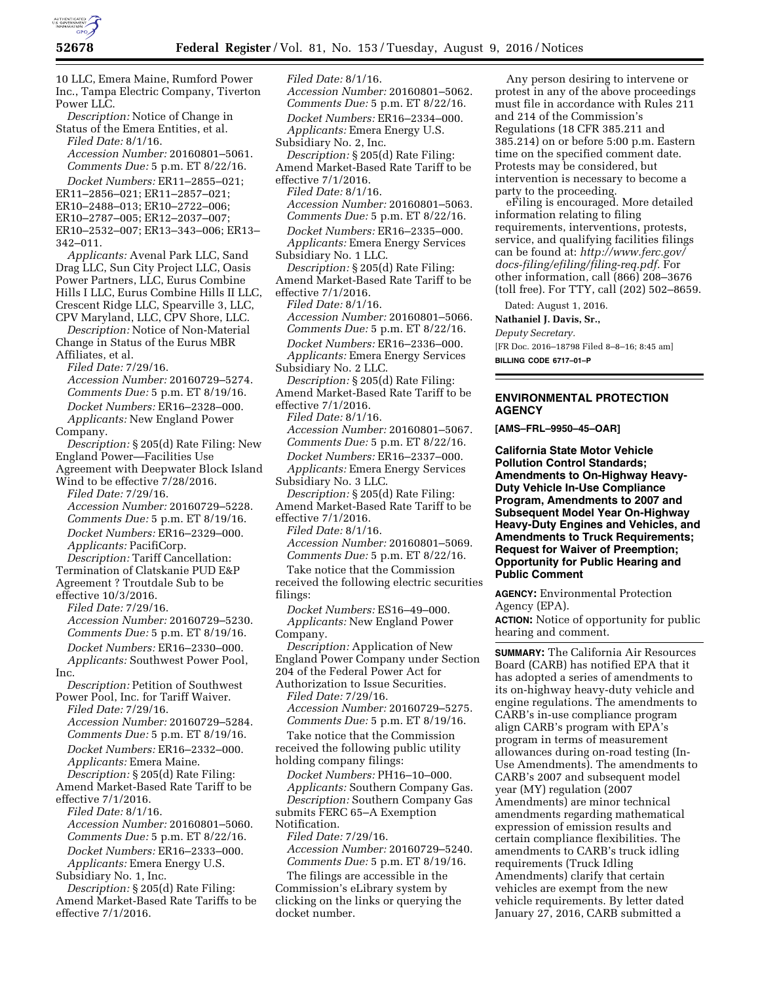

10 LLC, Emera Maine, Rumford Power Inc., Tampa Electric Company, Tiverton Power LLC. *Description:* Notice of Change in Status of the Emera Entities, et al. *Filed Date:* 8/1/16. *Accession Number:* 20160801–5061. *Comments Due:* 5 p.m. ET 8/22/16. *Docket Numbers:* ER11–2855–021; ER11–2856–021; ER11–2857–021; ER10–2488–013; ER10–2722–006; ER10–2787–005; ER12–2037–007; ER10–2532–007; ER13–343–006; ER13– 342–011. *Applicants:* Avenal Park LLC, Sand Drag LLC, Sun City Project LLC, Oasis Power Partners, LLC, Eurus Combine Hills I LLC, Eurus Combine Hills II LLC, Crescent Ridge LLC, Spearville 3, LLC, CPV Maryland, LLC, CPV Shore, LLC. *Description:* Notice of Non-Material Change in Status of the Eurus MBR Affiliates, et al. *Filed Date:* 7/29/16. *Accession Number:* 20160729–5274. *Comments Due:* 5 p.m. ET 8/19/16. *Docket Numbers:* ER16–2328–000. *Applicants:* New England Power Company. *Description:* § 205(d) Rate Filing: New England Power—Facilities Use Agreement with Deepwater Block Island Wind to be effective 7/28/2016. *Filed Date:* 7/29/16. *Accession Number:* 20160729–5228. *Comments Due:* 5 p.m. ET 8/19/16. *Docket Numbers:* ER16–2329–000. *Applicants:* PacifiCorp. *Description:* Tariff Cancellation: Termination of Clatskanie PUD E&P Agreement ? Troutdale Sub to be effective 10/3/2016. *Filed Date:* 7/29/16. *Accession Number:* 20160729–5230. *Comments Due:* 5 p.m. ET 8/19/16. *Docket Numbers:* ER16–2330–000. *Applicants:* Southwest Power Pool, Inc. *Description:* Petition of Southwest Power Pool, Inc. for Tariff Waiver. *Filed Date:* 7/29/16. *Accession Number:* 20160729–5284. *Comments Due:* 5 p.m. ET 8/19/16. *Docket Numbers:* ER16–2332–000. *Applicants:* Emera Maine. *Description:* § 205(d) Rate Filing: Amend Market-Based Rate Tariff to be effective 7/1/2016. *Filed Date:* 8/1/16. *Accession Number:* 20160801–5060. *Comments Due:* 5 p.m. ET 8/22/16. *Docket Numbers:* ER16–2333–000. *Applicants:* Emera Energy U.S. Subsidiary No. 1, Inc. *Description:* § 205(d) Rate Filing:

Amend Market-Based Rate Tariffs to be effective 7/1/2016.

*Filed Date:* 8/1/16. *Accession Number:* 20160801–5062. *Comments Due:* 5 p.m. ET 8/22/16. *Docket Numbers:* ER16–2334–000. *Applicants:* Emera Energy U.S. Subsidiary No. 2, Inc. *Description:* § 205(d) Rate Filing: Amend Market-Based Rate Tariff to be effective 7/1/2016. *Filed Date:* 8/1/16. *Accession Number:* 20160801–5063. *Comments Due:* 5 p.m. ET 8/22/16. *Docket Numbers:* ER16–2335–000. *Applicants:* Emera Energy Services Subsidiary No. 1 LLC. *Description:* § 205(d) Rate Filing: Amend Market-Based Rate Tariff to be effective 7/1/2016. *Filed Date:* 8/1/16. *Accession Number:* 20160801–5066. *Comments Due:* 5 p.m. ET 8/22/16. *Docket Numbers:* ER16–2336–000. *Applicants:* Emera Energy Services Subsidiary No. 2 LLC. *Description:* § 205(d) Rate Filing: Amend Market-Based Rate Tariff to be effective 7/1/2016. *Filed Date:* 8/1/16. *Accession Number:* 20160801–5067. *Comments Due:* 5 p.m. ET 8/22/16. *Docket Numbers:* ER16–2337–000. *Applicants:* Emera Energy Services Subsidiary No. 3 LLC. *Description:* § 205(d) Rate Filing: Amend Market-Based Rate Tariff to be effective 7/1/2016. *Filed Date:* 8/1/16. *Accession Number:* 20160801–5069. *Comments Due:* 5 p.m. ET 8/22/16. Take notice that the Commission received the following electric securities filings: *Docket Numbers:* ES16–49–000. *Applicants:* New England Power Company. *Description:* Application of New England Power Company under Section 204 of the Federal Power Act for Authorization to Issue Securities. *Filed Date:* 7/29/16. *Accession Number:* 20160729–5275. *Comments Due:* 5 p.m. ET 8/19/16. Take notice that the Commission received the following public utility holding company filings: *Docket Numbers:* PH16–10–000. *Applicants:* Southern Company Gas. *Description:* Southern Company Gas submits FERC 65–A Exemption Notification. *Filed Date:* 7/29/16. *Accession Number:* 20160729–5240. *Comments Due:* 5 p.m. ET 8/19/16. The filings are accessible in the Commission's eLibrary system by clicking on the links or querying the

docket number.

Any person desiring to intervene or protest in any of the above proceedings must file in accordance with Rules 211 and 214 of the Commission's Regulations (18 CFR 385.211 and 385.214) on or before 5:00 p.m. Eastern time on the specified comment date. Protests may be considered, but intervention is necessary to become a party to the proceeding.

eFiling is encouraged. More detailed information relating to filing requirements, interventions, protests, service, and qualifying facilities filings can be found at: *[http://www.ferc.gov/](http://www.ferc.gov/docs-filing/efiling/filing-req.pdf) [docs-filing/efiling/filing-req.pdf.](http://www.ferc.gov/docs-filing/efiling/filing-req.pdf)* For other information, call (866) 208–3676 (toll free). For TTY, call (202) 502–8659.

Dated: August 1, 2016.

**Nathaniel J. Davis, Sr.,** 

*Deputy Secretary.* 

[FR Doc. 2016–18798 Filed 8–8–16; 8:45 am] **BILLING CODE 6717–01–P** 

## **ENVIRONMENTAL PROTECTION AGENCY**

**[AMS–FRL–9950–45–OAR]** 

**California State Motor Vehicle Pollution Control Standards; Amendments to On-Highway Heavy-Duty Vehicle In-Use Compliance Program, Amendments to 2007 and Subsequent Model Year On-Highway Heavy-Duty Engines and Vehicles, and Amendments to Truck Requirements; Request for Waiver of Preemption; Opportunity for Public Hearing and Public Comment** 

**AGENCY:** Environmental Protection Agency (EPA).

**ACTION:** Notice of opportunity for public hearing and comment.

**SUMMARY:** The California Air Resources Board (CARB) has notified EPA that it has adopted a series of amendments to its on-highway heavy-duty vehicle and engine regulations. The amendments to CARB's in-use compliance program align CARB's program with EPA's program in terms of measurement allowances during on-road testing (In-Use Amendments). The amendments to CARB's 2007 and subsequent model year (MY) regulation (2007 Amendments) are minor technical amendments regarding mathematical expression of emission results and certain compliance flexibilities. The amendments to CARB's truck idling requirements (Truck Idling Amendments) clarify that certain vehicles are exempt from the new vehicle requirements. By letter dated January 27, 2016, CARB submitted a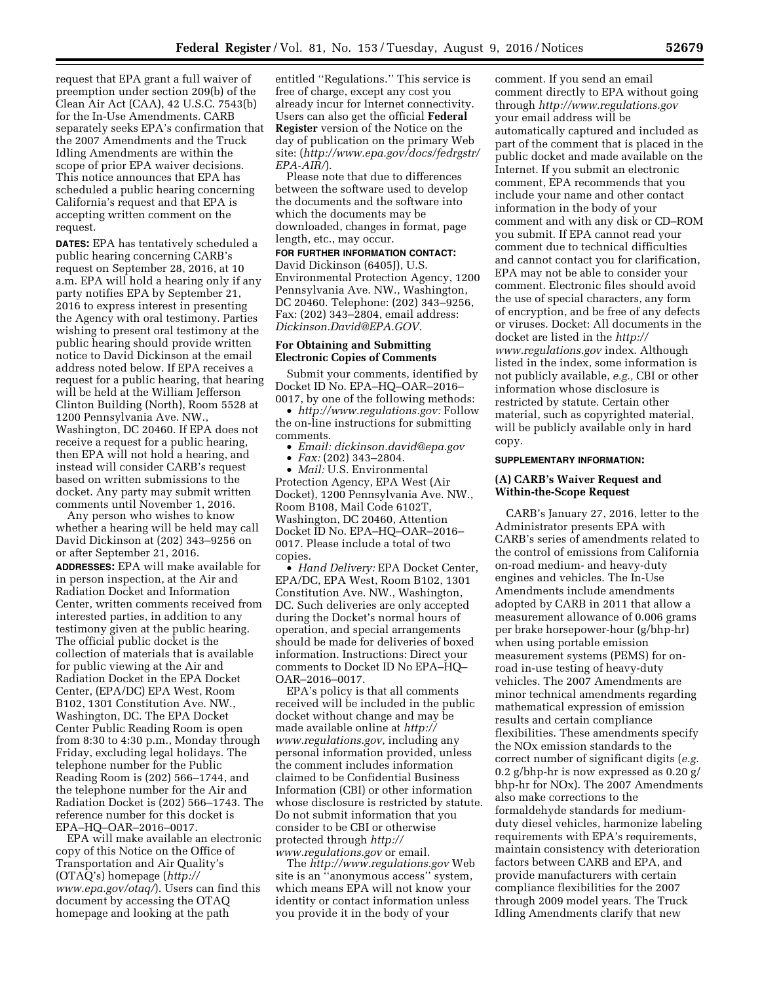request that EPA grant a full waiver of preemption under section 209(b) of the Clean Air Act (CAA), 42 U.S.C. 7543(b) for the In-Use Amendments. CARB separately seeks EPA's confirmation that the 2007 Amendments and the Truck Idling Amendments are within the scope of prior EPA waiver decisions. This notice announces that EPA has scheduled a public hearing concerning California's request and that EPA is accepting written comment on the request.

**DATES:** EPA has tentatively scheduled a public hearing concerning CARB's request on September 28, 2016, at 10 a.m. EPA will hold a hearing only if any party notifies EPA by September 21, 2016 to express interest in presenting the Agency with oral testimony. Parties wishing to present oral testimony at the public hearing should provide written notice to David Dickinson at the email address noted below. If EPA receives a request for a public hearing, that hearing will be held at the William Jefferson Clinton Building (North), Room 5528 at 1200 Pennsylvania Ave. NW., Washington, DC 20460. If EPA does not receive a request for a public hearing, then EPA will not hold a hearing, and instead will consider CARB's request based on written submissions to the docket. Any party may submit written comments until November 1, 2016.

Any person who wishes to know whether a hearing will be held may call David Dickinson at (202) 343–9256 on or after September 21, 2016. **ADDRESSES:** EPA will make available for in person inspection, at the Air and Radiation Docket and Information Center, written comments received from interested parties, in addition to any testimony given at the public hearing. The official public docket is the collection of materials that is available for public viewing at the Air and Radiation Docket in the EPA Docket Center, (EPA/DC) EPA West, Room B102, 1301 Constitution Ave. NW., Washington, DC. The EPA Docket Center Public Reading Room is open from 8:30 to 4:30 p.m., Monday through Friday, excluding legal holidays. The telephone number for the Public Reading Room is (202) 566–1744, and the telephone number for the Air and Radiation Docket is (202) 566–1743. The reference number for this docket is EPA–HQ–OAR–2016–0017.

EPA will make available an electronic copy of this Notice on the Office of Transportation and Air Quality's (OTAQ's) homepage (*[http://](http://www.epa.gov/otaq/) [www.epa.gov/otaq/](http://www.epa.gov/otaq/)*). Users can find this document by accessing the OTAQ homepage and looking at the path

entitled ''Regulations.'' This service is free of charge, except any cost you already incur for Internet connectivity. Users can also get the official **Federal Register** version of the Notice on the day of publication on the primary Web site: (*[http://www.epa.gov/docs/fedrgstr/](http://www.epa.gov/docs/fedrgstr/EPA-AIR/) [EPA-AIR/](http://www.epa.gov/docs/fedrgstr/EPA-AIR/)*).

Please note that due to differences between the software used to develop the documents and the software into which the documents may be downloaded, changes in format, page length, etc., may occur.

#### **FOR FURTHER INFORMATION CONTACT:**

David Dickinson (6405J), U.S. Environmental Protection Agency, 1200 Pennsylvania Ave. NW., Washington, DC 20460. Telephone: (202) 343–9256, Fax: (202) 343–2804, email address: *[Dickinson.David@EPA.GOV.](mailto:Dickinson.David@EPA.GOV)* 

### **For Obtaining and Submitting Electronic Copies of Comments**

Submit your comments, identified by Docket ID No. EPA–HQ–OAR–2016– 0017, by one of the following methods:

• *[http://www.regulations.gov:](http://www.regulations.gov)* Follow the on-line instructions for submitting comments.

- *Email: [dickinson.david@epa.gov](mailto:dickinson.david@epa.gov)*
- *Fax:* (202) 343–2804.

• *Mail:* U.S. Environmental Protection Agency, EPA West (Air Docket), 1200 Pennsylvania Ave. NW., Room B108, Mail Code 6102T, Washington, DC 20460, Attention Docket ID No. EPA–HQ–OAR–2016– 0017. Please include a total of two copies.

• *Hand Delivery:* EPA Docket Center, EPA/DC, EPA West, Room B102, 1301 Constitution Ave. NW., Washington, DC. Such deliveries are only accepted during the Docket's normal hours of operation, and special arrangements should be made for deliveries of boxed information. Instructions: Direct your comments to Docket ID No EPA–HQ– OAR–2016–0017.

EPA's policy is that all comments received will be included in the public docket without change and may be made available online at *[http://](http://www.regulations.gov) [www.regulations.gov,](http://www.regulations.gov)* including any personal information provided, unless the comment includes information claimed to be Confidential Business Information (CBI) or other information whose disclosure is restricted by statute. Do not submit information that you consider to be CBI or otherwise protected through *[http://](http://www.regulations.gov) [www.regulations.gov](http://www.regulations.gov)* or email.

The *<http://www.regulations.gov>*Web site is an ''anonymous access'' system, which means EPA will not know your identity or contact information unless you provide it in the body of your

comment. If you send an email comment directly to EPA without going through *<http://www.regulations.gov>*  your email address will be automatically captured and included as part of the comment that is placed in the public docket and made available on the Internet. If you submit an electronic comment, EPA recommends that you include your name and other contact information in the body of your comment and with any disk or CD–ROM you submit. If EPA cannot read your comment due to technical difficulties and cannot contact you for clarification, EPA may not be able to consider your comment. Electronic files should avoid the use of special characters, any form of encryption, and be free of any defects or viruses. Docket: All documents in the docket are listed in the *[http://](http://www.regulations.gov) [www.regulations.gov](http://www.regulations.gov)* index. Although listed in the index, some information is not publicly available, *e.g.,* CBI or other information whose disclosure is restricted by statute. Certain other material, such as copyrighted material, will be publicly available only in hard copy.

### **SUPPLEMENTARY INFORMATION:**

## **(A) CARB's Waiver Request and Within-the-Scope Request**

CARB's January 27, 2016, letter to the Administrator presents EPA with CARB's series of amendments related to the control of emissions from California on-road medium- and heavy-duty engines and vehicles. The In-Use Amendments include amendments adopted by CARB in 2011 that allow a measurement allowance of 0.006 grams per brake horsepower-hour (g/bhp-hr) when using portable emission measurement systems (PEMS) for onroad in-use testing of heavy-duty vehicles. The 2007 Amendments are minor technical amendments regarding mathematical expression of emission results and certain compliance flexibilities. These amendments specify the NOx emission standards to the correct number of significant digits (*e.g.*  0.2 g/bhp-hr is now expressed as 0.20 g/ bhp-hr for NOx). The 2007 Amendments also make corrections to the formaldehyde standards for mediumduty diesel vehicles, harmonize labeling requirements with EPA's requirements, maintain consistency with deterioration factors between CARB and EPA, and provide manufacturers with certain compliance flexibilities for the 2007 through 2009 model years. The Truck Idling Amendments clarify that new